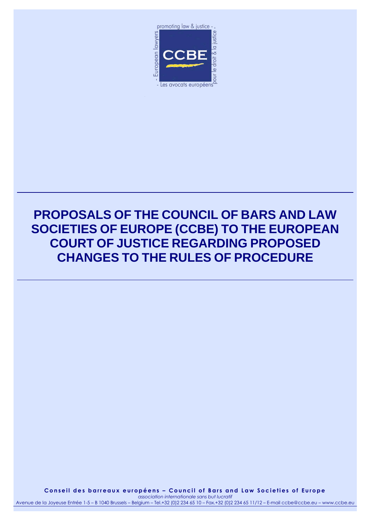

# **PROPOSALS OF THE COUNCIL OF BARS AND LAW SOCIETIES OF EUROPE (CCBE) TO THE EUROPEAN COURT OF JUSTICE REGARDING PROPOSED CHANGES TO THE RULES OF PROCEDURE**

Conseil des barreaux européens - Council of Bars and Law Societies of Europe *association internationale sans but lucratif*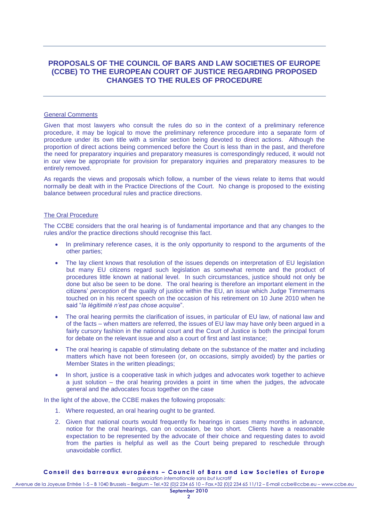## **PROPOSALS OF THE COUNCIL OF BARS AND LAW SOCIETIES OF EUROPE (CCBE) TO THE EUROPEAN COURT OF JUSTICE REGARDING PROPOSED CHANGES TO THE RULES OF PROCEDURE**

## General Comments

Given that most lawyers who consult the rules do so in the context of a preliminary reference procedure, it may be logical to move the preliminary reference procedure into a separate form of procedure under its own title with a similar section being devoted to direct actions. Although the proportion of direct actions being commenced before the Court is less than in the past, and therefore the need for preparatory inquiries and preparatory measures is correspondingly reduced, it would not in our view be appropriate for provision for preparatory inquiries and preparatory measures to be entirely removed.

As regards the views and proposals which follow, a number of the views relate to items that would normally be dealt with in the Practice Directions of the Court. No change is proposed to the existing balance between procedural rules and practice directions.

## The Oral Procedure

The CCBE considers that the oral hearing is of fundamental importance and that any changes to the rules and/or the practice directions should recognise this fact.

- In preliminary reference cases, it is the only opportunity to respond to the arguments of the other parties;
- The lay client knows that resolution of the issues depends on interpretation of EU legislation but many EU citizens regard such legislation as somewhat remote and the product of procedures little known at national level. In such circumstances, justice should not only be done but also be seen to be done. The oral hearing is therefore an important element in the citizens' *perception* of the quality of justice within the EU, an issue which Judge Timmermans touched on in his recent speech on the occasion of his retirement on 10 June 2010 when he said "*la légitimité n'est pas chose acquise*".
- The oral hearing permits the clarification of issues, in particular of EU law, of national law and of the facts – when matters are referred, the issues of EU law may have only been argued in a fairly cursory fashion in the national court and the Court of Justice is both the principal forum for debate on the relevant issue and also a court of first and last instance;
- The oral hearing is capable of stimulating debate on the substance of the matter and including matters which have not been foreseen (or, on occasions, simply avoided) by the parties or Member States in the written pleadings;
- In short, justice is a cooperative task in which judges and advocates work together to achieve a just solution – the oral hearing provides a point in time when the judges, the advocate general and the advocates focus together on the case

In the light of the above, the CCBE makes the following proposals:

- 1. Where requested, an oral hearing ought to be granted.
- 2. Given that national courts would frequently fix hearings in cases many months in advance, notice for the oral hearings, can on occasion, be too short. Clients have a reasonable expectation to be represented by the advocate of their choice and requesting dates to avoid from the parties is helpful as well as the Court being prepared to reschedule through unavoidable conflict.

#### **C o n s e i l d e s b a r r e a u x e u r o p é e n s – C o u n c i l o f B a r s a n d L a w S o c i e t i e s o f E u r o p e** *association internationale sans but lucratif*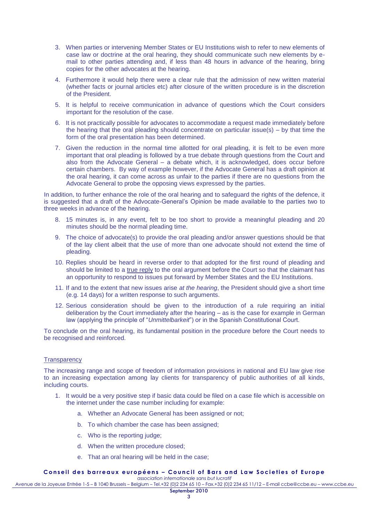- 3. When parties or intervening Member States or EU Institutions wish to refer to new elements of case law or doctrine at the oral hearing, they should communicate such new elements by email to other parties attending and, if less than 48 hours in advance of the hearing, bring copies for the other advocates at the hearing.
- 4. Furthermore it would help there were a clear rule that the admission of new written material (whether facts or journal articles etc) after closure of the written procedure is in the discretion of the President.
- 5. It is helpful to receive communication in advance of questions which the Court considers important for the resolution of the case.
- 6. It is not practically possible for advocates to accommodate a request made immediately before the hearing that the oral pleading should concentrate on particular issue(s) – by that time the form of the oral presentation has been determined.
- 7. Given the reduction in the normal time allotted for oral pleading, it is felt to be even more important that oral pleading is followed by a true debate through questions from the Court and also from the Advocate General – a debate which, it is acknowledged, does occur before certain chambers. By way of example however, if the Advocate General has a draft opinion at the oral hearing, it can come across as unfair to the parties if there are no questions from the Advocate General to probe the opposing views expressed by the parties.

In addition, to further enhance the role of the oral hearing and to safeguard the rights of the defence, it is suggested that a draft of the Advocate-General's Opinion be made available to the parties two to three weeks in advance of the hearing.

- 8. 15 minutes is, in any event, felt to be too short to provide a meaningful pleading and 20 minutes should be the normal pleading time.
- 9. The choice of advocate(s) to provide the oral pleading and/or answer questions should be that of the lay client albeit that the use of more than one advocate should not extend the time of pleading.
- 10. Replies should be heard in reverse order to that adopted for the first round of pleading and should be limited to a true reply to the oral argument before the Court so that the claimant has an opportunity to respond to issues put forward by Member States and the EU Institutions.
- 11. If and to the extent that new issues arise *at the hearing*, the President should give a short time (e.g. 14 days) for a written response to such arguments.
- 12. Serious consideration should be given to the introduction of a rule requiring an initial deliberation by the Court immediately after the hearing – as is the case for example in German law (applying the principle of "*Unmittelbarkeit*") or in the Spanish Constitutional Court.

To conclude on the oral hearing, its fundamental position in the procedure before the Court needs to be recognised and reinforced.

## **Transparency**

The increasing range and scope of freedom of information provisions in national and EU law give rise to an increasing expectation among lay clients for transparency of public authorities of all kinds, including courts.

- 1. It would be a very positive step if basic data could be filed on a case file which is accessible on the internet under the case number including for example:
	- a. Whether an Advocate General has been assigned or not;
	- b. To which chamber the case has been assigned;
	- c. Who is the reporting judge;
	- d. When the written procedure closed;
	- e. That an oral hearing will be held in the case;

#### Conseil des barreaux européens - Council of Bars and Law Societies of Europe *association internationale sans but lucratif*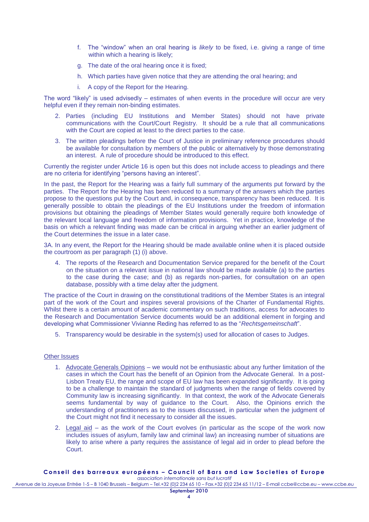- f. The "window" when an oral hearing is *likely* to be fixed, i.e. giving a range of time within which a hearing is likely:
- g. The date of the oral hearing once it is fixed;
- h. Which parties have given notice that they are attending the oral hearing; and
- i. A copy of the Report for the Hearing.

The word "likely" is used advisedly – estimates of when events in the procedure will occur are very helpful even if they remain non-binding estimates.

- 2. Parties (including EU Institutions and Member States) should not have private communications with the Court/Court Registry. It should be a rule that all communications with the Court are copied at least to the direct parties to the case.
- 3. The written pleadings before the Court of Justice in preliminary reference procedures should be available for consultation by members of the public or alternatively by those demonstrating an interest. A rule of procedure should be introduced to this effect.

Currently the register under Article 16 is open but this does not include access to pleadings and there are no criteria for identifying "persons having an interest".

In the past, the Report for the Hearing was a fairly full summary of the arguments put forward by the parties. The Report for the Hearing has been reduced to a summary of the answers which the parties propose to the questions put by the Court and, in consequence, transparency has been reduced. It is generally possible to obtain the pleadings of the EU Institutions under the freedom of information provisions but obtaining the pleadings of Member States would generally require both knowledge of the relevant local language and freedom of information provisions. Yet in practice, knowledge of the basis on which a relevant finding was made can be critical in arguing whether an earlier judgment of the Court determines the issue in a later case.

3A. In any event, the Report for the Hearing should be made available online when it is placed outside the courtroom as per paragraph (1) (i) above.

4. The reports of the Research and Documentation Service prepared for the benefit of the Court on the situation on a relevant issue in national law should be made available (a) to the parties to the case during the case; and (b) as regards non-parties, for consultation on an open database, possibly with a time delay after the judgment.

The practice of the Court in drawing on the constitutional traditions of the Member States is an integral part of the work of the Court and inspires several provisions of the Charter of Fundamental Rights. Whilst there is a certain amount of academic commentary on such traditions, access for advocates to the Research and Documentation Service documents would be an additional element in forging and developing what Commissioner Vivianne Reding has referred to as the "*Rechtsgemeinschaft*".

5. Transparency would be desirable in the system(s) used for allocation of cases to Judges.

## Other Issues

- 1. Advocate Generals Opinions we would not be enthusiastic about any further limitation of the cases in which the Court has the benefit of an Opinion from the Advocate General. In a post-Lisbon Treaty EU, the range and scope of EU law has been expanded significantly. It is going to be a challenge to maintain the standard of judgments when the range of fields covered by Community law is increasing significantly. In that context, the work of the Advocate Generals seems fundamental by way of guidance to the Court. Also, the Opinions enrich the understanding of practitioners as to the issues discussed, in particular when the judgment of the Court might not find it necessary to consider all the issues.
- 2. Legal aid as the work of the Court evolves (in particular as the scope of the work now includes issues of asylum, family law and criminal law) an increasing number of situations are likely to arise where a party requires the assistance of legal aid in order to plead before the Court.

#### **C o n s e i l d e s b a r r e a u x e u r o p é e n s – C o u n c i l o f B a r s a n d L a w S o c i e t i e s o f E u r o p e** *association internationale sans but lucratif*